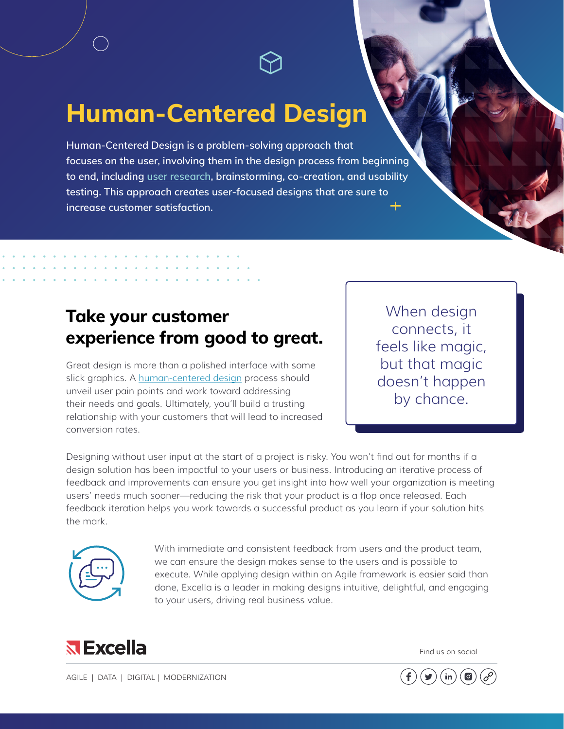**Human-Centered Design**

**Human-Centered Design is a problem-solving approach that focuses on the user, involving them in the design process from beginning to end, including [user research,](https://www.excella.com/wp-content/uploads/2020/09/Excella_User-Research.pdf) brainstorming, co-creation, and usability testing. This approach creates user-focused designs that are sure to increase customer satisfaction.**

## **Take your customer experience from good to great.**

Great design is more than a polished interface with some slick graphics. A [human-centered design](https://www.excella.com/resource/embracing-human-centered-design-to-improve-user-experience) process should unveil user pain points and work toward addressing their needs and goals. Ultimately, you'll build a trusting relationship with your customers that will lead to increased conversion rates.

When design connects, it feels like magic, but that magic doesn't happen by chance.

Designing without user input at the start of a project is risky. You won't find out for months if a design solution has been impactful to your users or business. Introducing an iterative process of feedback and improvements can ensure you get insight into how well your organization is meeting users' needs much sooner—reducing the risk that your product is a flop once released. Each feedback iteration helps you work towards a successful product as you learn if your solution hits the mark.



With immediate and consistent feedback from users and the product team, we can ensure the design makes sense to the users and is possible to execute. While applying design within an Agile framework is easier said than done, Excella is a leader in making designs intuitive, delightful, and engaging to your users, driving real business value.



Find us on social

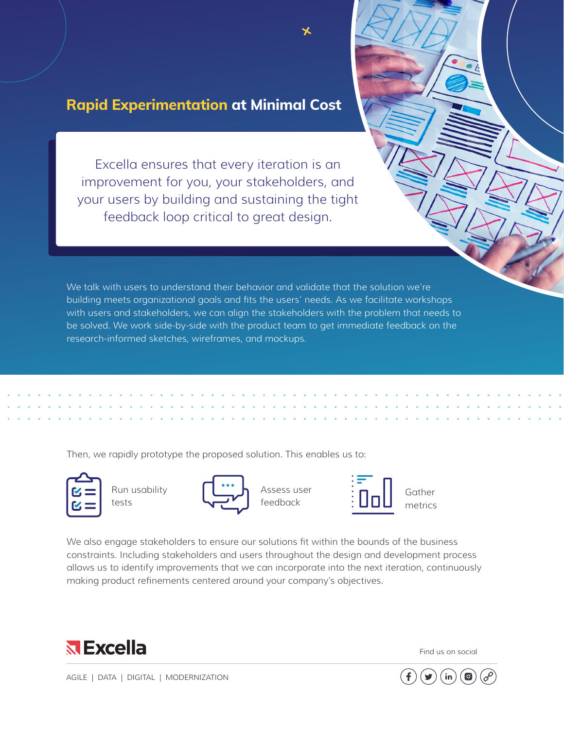## **Rapid Experimentation at Minimal Cost**

Excella ensures that every iteration is an improvement for you, your stakeholders, and your users by building and sustaining the tight feedback loop critical to great design.

We talk with users to understand their behavior and validate that the solution we're building meets organizational goals and fits the users' needs. As we facilitate workshops with users and stakeholders, we can align the stakeholders with the problem that needs to be solved. We work side-by-side with the product team to get immediate feedback on the research-informed sketches, wireframes, and mockups.

Then, we rapidly prototype the proposed solution. This enables us to:



Run usability tests



Assess user feedback



Gather metrics

We also engage stakeholders to ensure our solutions fit within the bounds of the business constraints. Including stakeholders and users throughout the design and development process allows us to identify improvements that we can incorporate into the next iteration, continuously making product refinements centered around your company's objectives.



Find us on social



[AGILE](https://www.excella.com/capabilities/agile-transformation) | [DATA](https://www.excella.com/capabilities/artificial-intelligence-ai) | [DIGITAL](https://www.excella.com/capabilities/digital-service-delivery) | [MODERNIZATION](https://www.excella.com/capabilities/modernization)